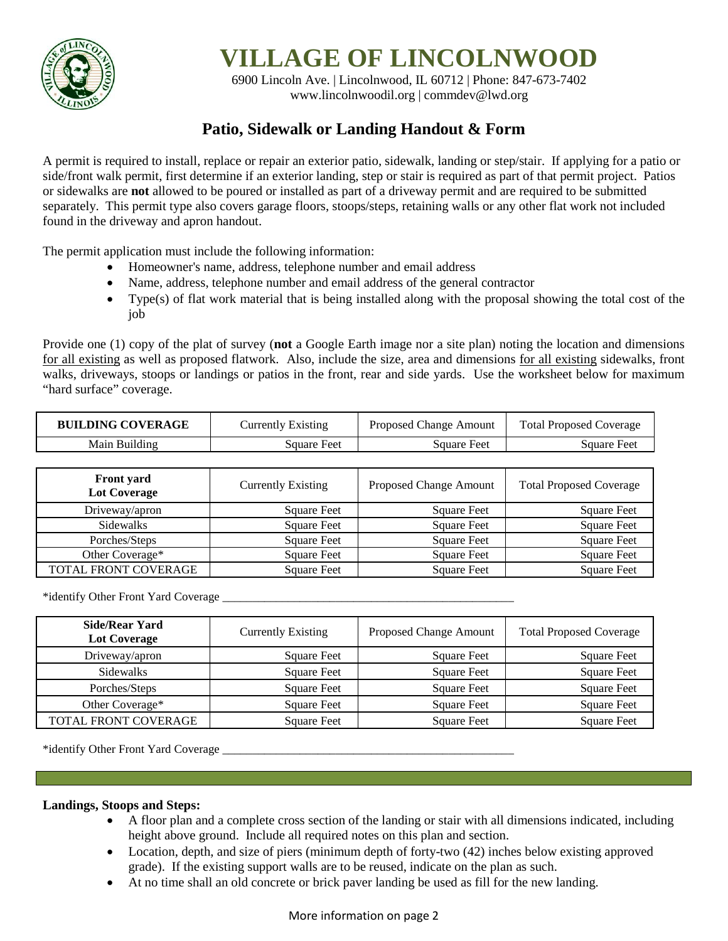

# **VILLAGE OF LINCOLNWOOD**

6900 Lincoln Ave. | Lincolnwood, IL 60712 | Phone: 847-673-7402 [www.lincolnwoodil.org |](http://www.lincolnwoodil.org/) commdev@lwd.org

# **Patio, Sidewalk or Landing Handout & Form**

A permit is required to install, replace or repair an exterior patio, sidewalk, landing or step/stair. If applying for a patio or side/front walk permit, first determine if an exterior landing, step or stair is required as part of that permit project. Patios or sidewalks are **not** allowed to be poured or installed as part of a driveway permit and are required to be submitted separately. This permit type also covers garage floors, stoops/steps, retaining walls or any other flat work not included found in the driveway and apron handout.

The permit application must include the following information:

- Homeowner's name, address, telephone number and email address
- Name, address, telephone number and email address of the general contractor
- Type(s) of flat work material that is being installed along with the proposal showing the total cost of the job

Provide one (1) copy of the plat of survey (**not** a Google Earth image nor a site plan) noting the location and dimensions for all existing as well as proposed flatwork. Also, include the size, area and dimensions for all existing sidewalks, front walks, driveways, stoops or landings or patios in the front, rear and side yards. Use the worksheet below for maximum "hard surface" coverage.

| <b>BUILDING COVERAGE</b> | Currently Existing | Proposed Change Amount | <b>Total Proposed Coverage</b> |
|--------------------------|--------------------|------------------------|--------------------------------|
| Main Building            | Sauare Feet        | Square Feet            | Square Feet                    |

| <b>Front</b> yard<br><b>Lot Coverage</b> | <b>Currently Existing</b> | Proposed Change Amount | <b>Total Proposed Coverage</b> |
|------------------------------------------|---------------------------|------------------------|--------------------------------|
| Driveway/apron                           | <b>Square Feet</b>        | Square Feet            | Square Feet                    |
| Sidewalks                                | <b>Square Feet</b>        | <b>Square Feet</b>     | <b>Square Feet</b>             |
| Porches/Steps                            | Square Feet               | Square Feet            | Square Feet                    |
| Other Coverage*                          | <b>Square Feet</b>        | <b>Square Feet</b>     | <b>Square Feet</b>             |
| TOTAL FRONT COVERAGE                     | <b>Square Feet</b>        | Square Feet            | <b>Square Feet</b>             |

\*identify Other Front Yard Coverage

| <b>Side/Rear Yard</b><br>Lot Coverage | <b>Currently Existing</b> | Proposed Change Amount | <b>Total Proposed Coverage</b> |
|---------------------------------------|---------------------------|------------------------|--------------------------------|
| Driveway/apron                        | <b>Square Feet</b>        | <b>Square Feet</b>     | <b>Square Feet</b>             |
| Sidewalks                             | Square Feet               | <b>Square Feet</b>     | <b>Square Feet</b>             |
| Porches/Steps                         | <b>Square Feet</b>        | <b>Square Feet</b>     | <b>Square Feet</b>             |
| Other Coverage*                       | Square Feet               | <b>Square Feet</b>     | <b>Square Feet</b>             |
| TOTAL FRONT COVERAGE                  | Square Feet               | <b>Square Feet</b>     | <b>Square Feet</b>             |

\*identify Other Front Yard Coverage

#### **Landings, Stoops and Steps:**

- A floor plan and a complete cross section of the landing or stair with all dimensions indicated, including height above ground. Include all required notes on this plan and section.
- Location, depth, and size of piers (minimum depth of forty-two (42) inches below existing approved grade). If the existing support walls are to be reused, indicate on the plan as such.
- At no time shall an old concrete or brick paver landing be used as fill for the new landing.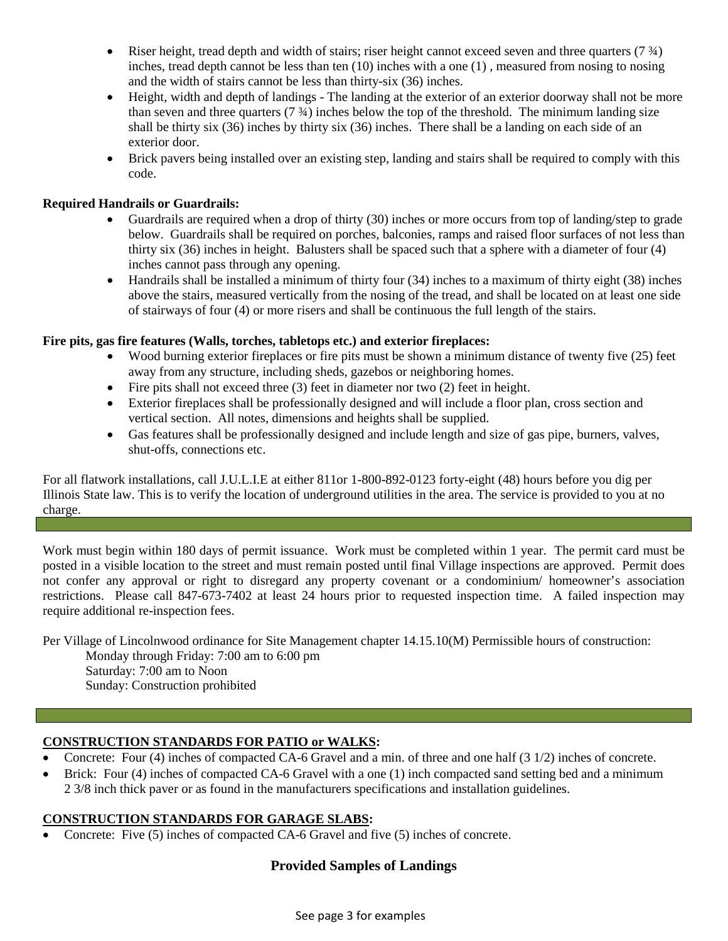- Riser height, tread depth and width of stairs; riser height cannot exceed seven and three quarters  $(7\frac{3}{4})$ inches, tread depth cannot be less than ten (10) inches with a one (1) , measured from nosing to nosing and the width of stairs cannot be less than thirty-six (36) inches.
- Height, width and depth of landings The landing at the exterior of an exterior doorway shall not be more than seven and three quarters  $(7 \frac{3}{4})$  inches below the top of the threshold. The minimum landing size shall be thirty six (36) inches by thirty six (36) inches. There shall be a landing on each side of an exterior door.
- Brick pavers being installed over an existing step, landing and stairs shall be required to comply with this code.

### **Required Handrails or Guardrails:**

- Guardrails are required when a drop of thirty (30) inches or more occurs from top of landing/step to grade below. Guardrails shall be required on porches, balconies, ramps and raised floor surfaces of not less than thirty six (36) inches in height. Balusters shall be spaced such that a sphere with a diameter of four (4) inches cannot pass through any opening.
- Handrails shall be installed a minimum of thirty four (34) inches to a maximum of thirty eight (38) inches above the stairs, measured vertically from the nosing of the tread, and shall be located on at least one side of stairways of four (4) or more risers and shall be continuous the full length of the stairs.

#### **Fire pits, gas fire features (Walls, torches, tabletops etc.) and exterior fireplaces:**

- Wood burning exterior fireplaces or fire pits must be shown a minimum distance of twenty five (25) feet away from any structure, including sheds, gazebos or neighboring homes.
- Fire pits shall not exceed three (3) feet in diameter nor two (2) feet in height.
- Exterior fireplaces shall be professionally designed and will include a floor plan, cross section and vertical section. All notes, dimensions and heights shall be supplied.
- Gas features shall be professionally designed and include length and size of gas pipe, burners, valves, shut-offs, connections etc.

For all flatwork installations, call J.U.L.I.E at either 811or 1-800-892-0123 forty-eight (48) hours before you dig per Illinois State law. This is to verify the location of underground utilities in the area. The service is provided to you at no charge.

Work must begin within 180 days of permit issuance. Work must be completed within 1 year. The permit card must be posted in a visible location to the street and must remain posted until final Village inspections are approved. Permit does not confer any approval or right to disregard any property covenant or a condominium/ homeowner's association restrictions. Please call 847-673-7402 at least 24 hours prior to requested inspection time. A failed inspection may require additional re-inspection fees.

Per Village of Lincolnwood ordinance for Site Management chapter 14.15.10(M) Permissible hours of construction:

Monday through Friday: 7:00 am to 6:00 pm Saturday: 7:00 am to Noon Sunday: Construction prohibited

#### **CONSTRUCTION STANDARDS FOR PATIO or WALKS:**

- Concrete: Four (4) inches of compacted CA-6 Gravel and a min. of three and one half (3 1/2) inches of concrete.
- Brick: Four (4) inches of compacted CA-6 Gravel with a one (1) inch compacted sand setting bed and a minimum 2 3/8 inch thick paver or as found in the manufacturers specifications and installation guidelines.

#### **CONSTRUCTION STANDARDS FOR GARAGE SLABS:**

• Concrete: Five (5) inches of compacted CA-6 Gravel and five (5) inches of concrete.

## **Provided Samples of Landings**